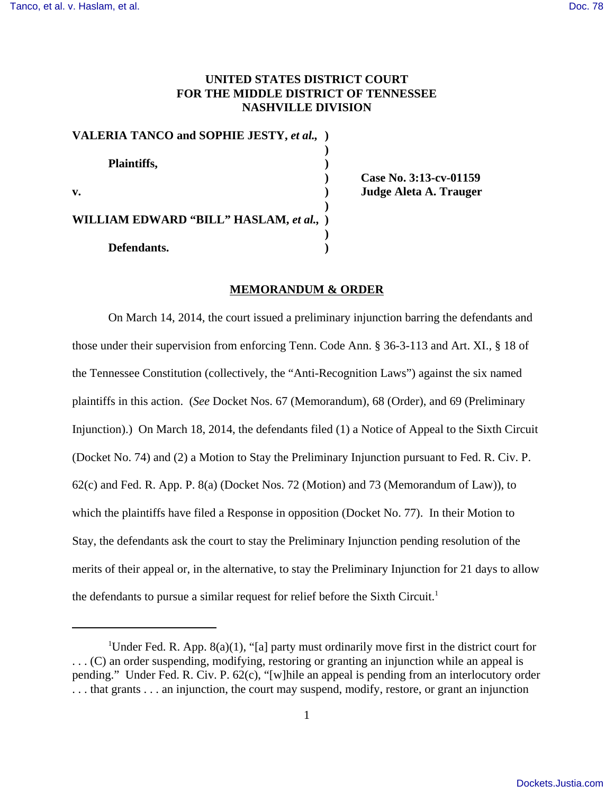# **UNITED STATES DISTRICT COURT FOR THE MIDDLE DISTRICT OF TENNESSEE NASHVILLE DIVISION**

| VALERIA TANCO and SOPHIE JESTY, et al., ) |  |
|-------------------------------------------|--|
| Plaintiffs,                               |  |
| $\mathbf{v}$ .                            |  |
| WILLIAM EDWARD "BILL" HASLAM, et al., )   |  |
| Defendants.                               |  |

**) Case No. 3:13-cv-01159 v. ) Judge Aleta A. Trauger**

#### **MEMORANDUM & ORDER**

On March 14, 2014, the court issued a preliminary injunction barring the defendants and those under their supervision from enforcing Tenn. Code Ann. § 36-3-113 and Art. XI., § 18 of the Tennessee Constitution (collectively, the "Anti-Recognition Laws") against the six named plaintiffs in this action. (*See* Docket Nos. 67 (Memorandum), 68 (Order), and 69 (Preliminary Injunction).) On March 18, 2014, the defendants filed (1) a Notice of Appeal to the Sixth Circuit (Docket No. 74) and (2) a Motion to Stay the Preliminary Injunction pursuant to Fed. R. Civ. P. 62(c) and Fed. R. App. P. 8(a) (Docket Nos. 72 (Motion) and 73 (Memorandum of Law)), to which the plaintiffs have filed a Response in opposition (Docket No. 77). In their Motion to Stay, the defendants ask the court to stay the Preliminary Injunction pending resolution of the merits of their appeal or, in the alternative, to stay the Preliminary Injunction for 21 days to allow the defendants to pursue a similar request for relief before the Sixth Circuit.<sup>1</sup>

<sup>&</sup>lt;sup>1</sup>Under Fed. R. App.  $8(a)(1)$ , "[a] party must ordinarily move first in the district court for . . . (C) an order suspending, modifying, restoring or granting an injunction while an appeal is pending." Under Fed. R. Civ. P. 62(c), "[w]hile an appeal is pending from an interlocutory order . . . that grants . . . an injunction, the court may suspend, modify, restore, or grant an injunction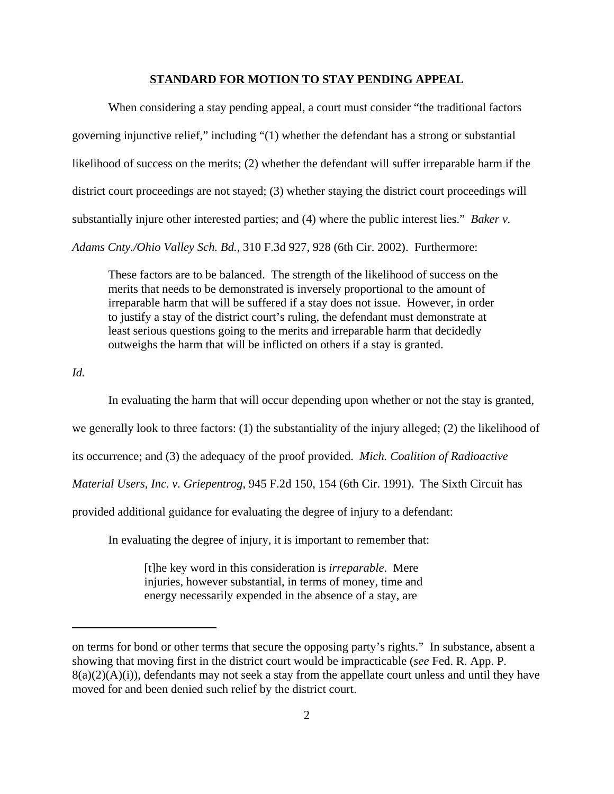#### **STANDARD FOR MOTION TO STAY PENDING APPEAL**

When considering a stay pending appeal, a court must consider "the traditional factors governing injunctive relief," including "(1) whether the defendant has a strong or substantial likelihood of success on the merits; (2) whether the defendant will suffer irreparable harm if the district court proceedings are not stayed; (3) whether staying the district court proceedings will substantially injure other interested parties; and (4) where the public interest lies." *Baker v. Adams Cnty./Ohio Valley Sch. Bd.*, 310 F.3d 927, 928 (6th Cir. 2002). Furthermore:

These factors are to be balanced. The strength of the likelihood of success on the merits that needs to be demonstrated is inversely proportional to the amount of irreparable harm that will be suffered if a stay does not issue. However, in order to justify a stay of the district court's ruling, the defendant must demonstrate at least serious questions going to the merits and irreparable harm that decidedly outweighs the harm that will be inflicted on others if a stay is granted.

*Id.* 

In evaluating the harm that will occur depending upon whether or not the stay is granted, we generally look to three factors: (1) the substantiality of the injury alleged; (2) the likelihood of its occurrence; and (3) the adequacy of the proof provided. *Mich. Coalition of Radioactive Material Users, Inc. v. Griepentrog*, 945 F.2d 150, 154 (6th Cir. 1991). The Sixth Circuit has provided additional guidance for evaluating the degree of injury to a defendant:

In evaluating the degree of injury, it is important to remember that:

[t]he key word in this consideration is *irreparable*. Mere injuries, however substantial, in terms of money, time and energy necessarily expended in the absence of a stay, are

on terms for bond or other terms that secure the opposing party's rights." In substance, absent a showing that moving first in the district court would be impracticable (*see* Fed. R. App. P.  $8(a)(2)(A)(i)$ , defendants may not seek a stay from the appellate court unless and until they have moved for and been denied such relief by the district court.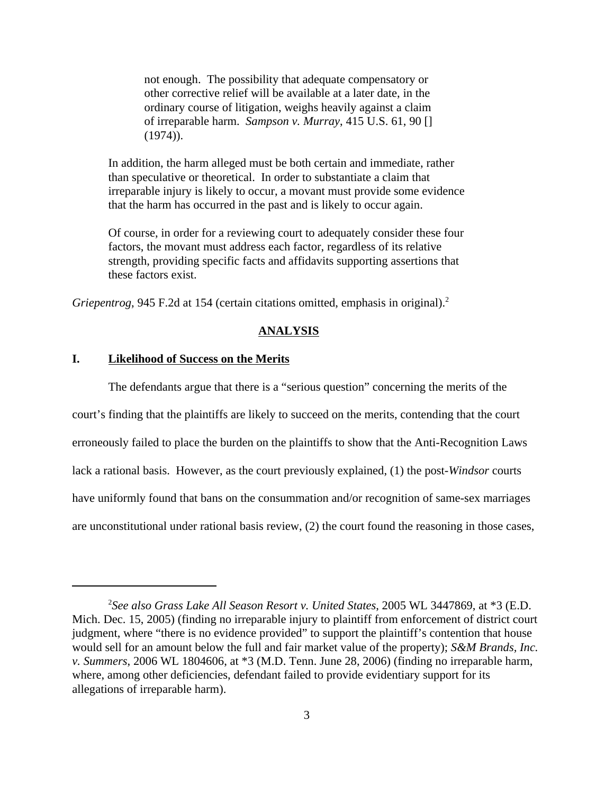not enough. The possibility that adequate compensatory or other corrective relief will be available at a later date, in the ordinary course of litigation, weighs heavily against a claim of irreparable harm. *Sampson v. Murray*, 415 U.S. 61, 90 [] (1974)).

In addition, the harm alleged must be both certain and immediate, rather than speculative or theoretical. In order to substantiate a claim that irreparable injury is likely to occur, a movant must provide some evidence that the harm has occurred in the past and is likely to occur again.

Of course, in order for a reviewing court to adequately consider these four factors, the movant must address each factor, regardless of its relative strength, providing specific facts and affidavits supporting assertions that these factors exist.

*Griepentrog*, 945 F.2d at 154 (certain citations omitted, emphasis in original).<sup>2</sup>

#### **ANALYSIS**

# **I. Likelihood of Success on the Merits**

The defendants argue that there is a "serious question" concerning the merits of the court's finding that the plaintiffs are likely to succeed on the merits, contending that the court erroneously failed to place the burden on the plaintiffs to show that the Anti-Recognition Laws lack a rational basis. However, as the court previously explained, (1) the post-*Windsor* courts have uniformly found that bans on the consummation and/or recognition of same-sex marriages are unconstitutional under rational basis review, (2) the court found the reasoning in those cases,

<sup>2</sup> *See also Grass Lake All Season Resort v. United States*, 2005 WL 3447869, at \*3 (E.D. Mich. Dec. 15, 2005) (finding no irreparable injury to plaintiff from enforcement of district court judgment, where "there is no evidence provided" to support the plaintiff's contention that house would sell for an amount below the full and fair market value of the property); *S&M Brands, Inc. v. Summers*, 2006 WL 1804606, at \*3 (M.D. Tenn. June 28, 2006) (finding no irreparable harm, where, among other deficiencies, defendant failed to provide evidentiary support for its allegations of irreparable harm).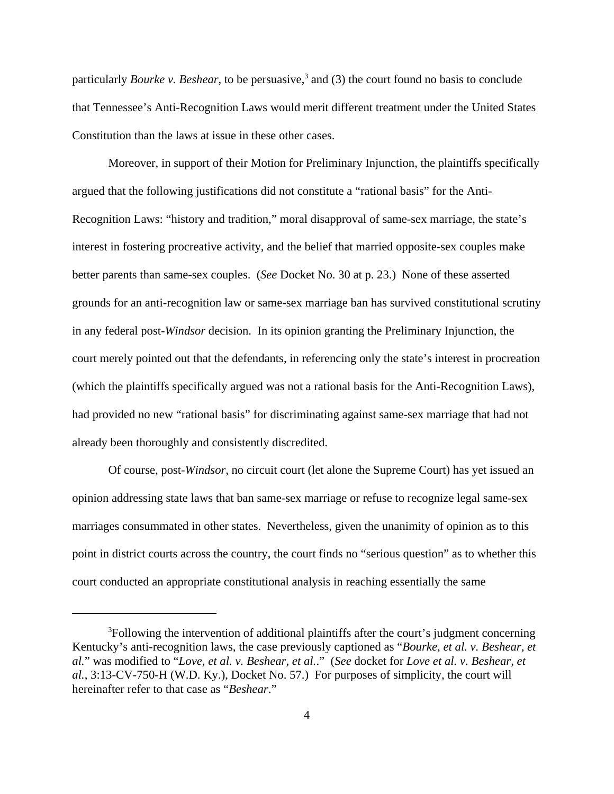particularly *Bourke v. Beshear*, to be persuasive,<sup>3</sup> and (3) the court found no basis to conclude that Tennessee's Anti-Recognition Laws would merit different treatment under the United States Constitution than the laws at issue in these other cases.

Moreover, in support of their Motion for Preliminary Injunction, the plaintiffs specifically argued that the following justifications did not constitute a "rational basis" for the Anti-Recognition Laws: "history and tradition," moral disapproval of same-sex marriage, the state's interest in fostering procreative activity, and the belief that married opposite-sex couples make better parents than same-sex couples. (*See* Docket No. 30 at p. 23.) None of these asserted grounds for an anti-recognition law or same-sex marriage ban has survived constitutional scrutiny in any federal post-*Windsor* decision. In its opinion granting the Preliminary Injunction, the court merely pointed out that the defendants, in referencing only the state's interest in procreation (which the plaintiffs specifically argued was not a rational basis for the Anti-Recognition Laws), had provided no new "rational basis" for discriminating against same-sex marriage that had not already been thoroughly and consistently discredited.

Of course, post-*Windsor*, no circuit court (let alone the Supreme Court) has yet issued an opinion addressing state laws that ban same-sex marriage or refuse to recognize legal same-sex marriages consummated in other states. Nevertheless, given the unanimity of opinion as to this point in district courts across the country, the court finds no "serious question" as to whether this court conducted an appropriate constitutional analysis in reaching essentially the same

<sup>&</sup>lt;sup>3</sup>Following the intervention of additional plaintiffs after the court's judgment concerning Kentucky's anti-recognition laws, the case previously captioned as "*Bourke, et al. v. Beshear, et al.*" was modified to "*Love, et al. v. Beshear, et al.*." (*See* docket for *Love et al. v. Beshear, et al.*, 3:13-CV-750-H (W.D. Ky.), Docket No. 57.) For purposes of simplicity, the court will hereinafter refer to that case as "*Beshear*."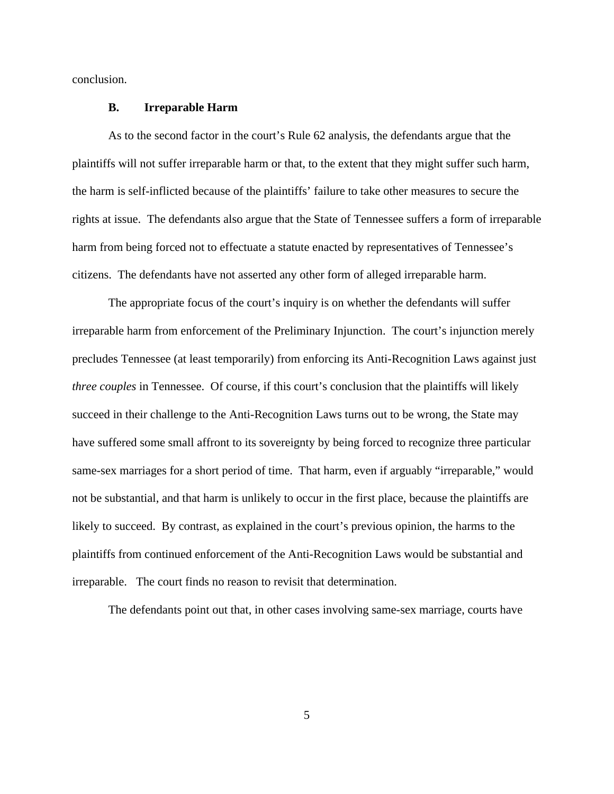conclusion.

#### **B. Irreparable Harm**

As to the second factor in the court's Rule 62 analysis, the defendants argue that the plaintiffs will not suffer irreparable harm or that, to the extent that they might suffer such harm, the harm is self-inflicted because of the plaintiffs' failure to take other measures to secure the rights at issue. The defendants also argue that the State of Tennessee suffers a form of irreparable harm from being forced not to effectuate a statute enacted by representatives of Tennessee's citizens. The defendants have not asserted any other form of alleged irreparable harm.

The appropriate focus of the court's inquiry is on whether the defendants will suffer irreparable harm from enforcement of the Preliminary Injunction. The court's injunction merely precludes Tennessee (at least temporarily) from enforcing its Anti-Recognition Laws against just *three couples* in Tennessee. Of course, if this court's conclusion that the plaintiffs will likely succeed in their challenge to the Anti-Recognition Laws turns out to be wrong, the State may have suffered some small affront to its sovereignty by being forced to recognize three particular same-sex marriages for a short period of time. That harm, even if arguably "irreparable," would not be substantial, and that harm is unlikely to occur in the first place, because the plaintiffs are likely to succeed. By contrast, as explained in the court's previous opinion, the harms to the plaintiffs from continued enforcement of the Anti-Recognition Laws would be substantial and irreparable. The court finds no reason to revisit that determination.

The defendants point out that, in other cases involving same-sex marriage, courts have

5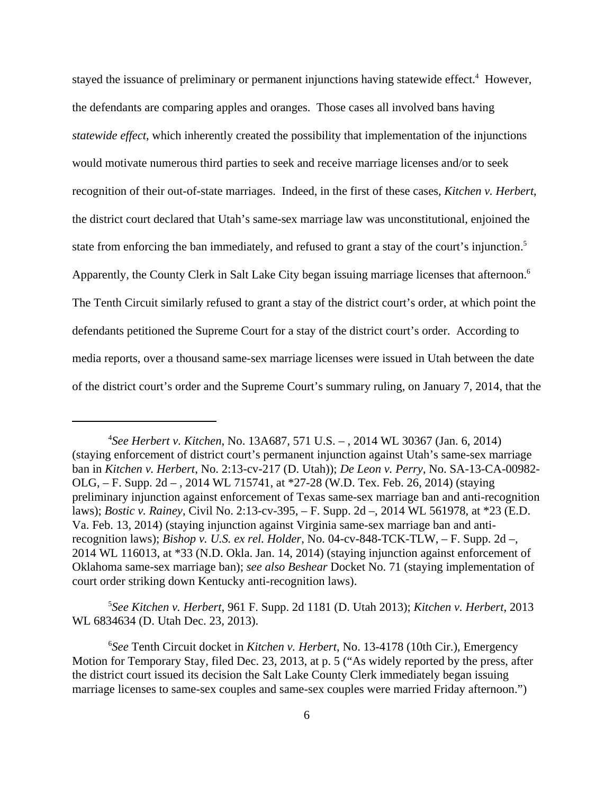stayed the issuance of preliminary or permanent injunctions having statewide effect.<sup>4</sup> However, the defendants are comparing apples and oranges. Those cases all involved bans having *statewide effect*, which inherently created the possibility that implementation of the injunctions would motivate numerous third parties to seek and receive marriage licenses and/or to seek recognition of their out-of-state marriages. Indeed, in the first of these cases, *Kitchen v. Herbert*, the district court declared that Utah's same-sex marriage law was unconstitutional, enjoined the state from enforcing the ban immediately, and refused to grant a stay of the court's injunction.<sup>5</sup> Apparently, the County Clerk in Salt Lake City began issuing marriage licenses that afternoon.<sup>6</sup> The Tenth Circuit similarly refused to grant a stay of the district court's order, at which point the defendants petitioned the Supreme Court for a stay of the district court's order. According to media reports, over a thousand same-sex marriage licenses were issued in Utah between the date of the district court's order and the Supreme Court's summary ruling, on January 7, 2014, that the

5 *See Kitchen v. Herbert*, 961 F. Supp. 2d 1181 (D. Utah 2013); *Kitchen v. Herbert*, 2013 WL 6834634 (D. Utah Dec. 23, 2013).

<sup>4</sup> *See Herbert v. Kitchen*, No. 13A687, 571 U.S. – , 2014 WL 30367 (Jan. 6, 2014) (staying enforcement of district court's permanent injunction against Utah's same-sex marriage ban in *Kitchen v. Herbert*, No. 2:13-cv-217 (D. Utah)); *De Leon v. Perry*, No. SA-13-CA-00982- OLG, – F. Supp. 2d – , 2014 WL 715741, at \*27-28 (W.D. Tex. Feb. 26, 2014) (staying preliminary injunction against enforcement of Texas same-sex marriage ban and anti-recognition laws); *Bostic v. Rainey*, Civil No. 2:13-cv-395, – F. Supp. 2d –, 2014 WL 561978, at \*23 (E.D. Va. Feb. 13, 2014) (staying injunction against Virginia same-sex marriage ban and antirecognition laws); *Bishop v. U.S. ex rel. Holder*, No. 04-cv-848-TCK-TLW, – F. Supp. 2d –, 2014 WL 116013, at \*33 (N.D. Okla. Jan. 14, 2014) (staying injunction against enforcement of Oklahoma same-sex marriage ban); *see also Beshear* Docket No. 71 (staying implementation of court order striking down Kentucky anti-recognition laws).

<sup>6</sup> *See* Tenth Circuit docket in *Kitchen v. Herbert*, No. 13-4178 (10th Cir.), Emergency Motion for Temporary Stay, filed Dec. 23, 2013, at p. 5 ("As widely reported by the press, after the district court issued its decision the Salt Lake County Clerk immediately began issuing marriage licenses to same-sex couples and same-sex couples were married Friday afternoon.")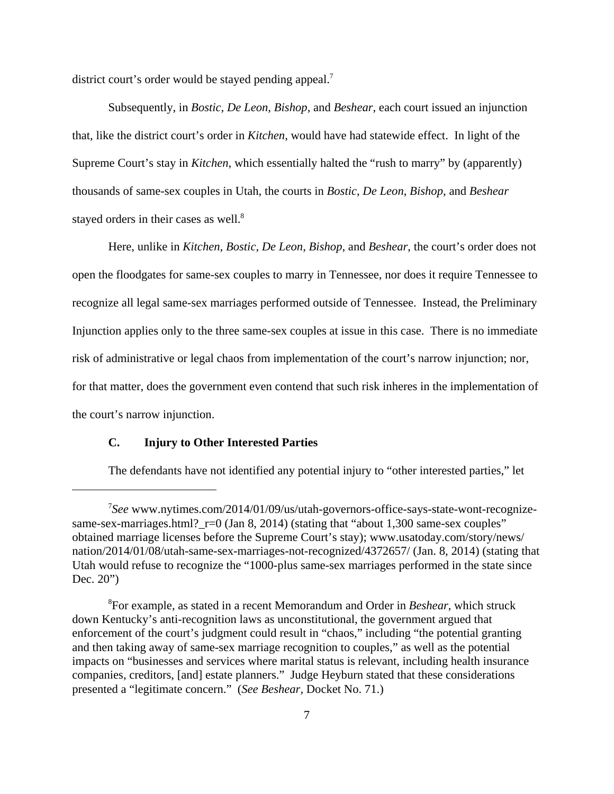district court's order would be stayed pending appeal.<sup>7</sup>

Subsequently, in *Bostic*, *De Leon*, *Bishop*, and *Beshear*, each court issued an injunction that, like the district court's order in *Kitchen*, would have had statewide effect. In light of the Supreme Court's stay in *Kitchen*, which essentially halted the "rush to marry" by (apparently) thousands of same-sex couples in Utah, the courts in *Bostic*, *De Leon*, *Bishop*, and *Beshear* stayed orders in their cases as well.<sup>8</sup>

Here, unlike in *Kitchen*, *Bostic*, *De Leon*, *Bishop*, and *Beshear*, the court's order does not open the floodgates for same-sex couples to marry in Tennessee, nor does it require Tennessee to recognize all legal same-sex marriages performed outside of Tennessee. Instead, the Preliminary Injunction applies only to the three same-sex couples at issue in this case. There is no immediate risk of administrative or legal chaos from implementation of the court's narrow injunction; nor, for that matter, does the government even contend that such risk inheres in the implementation of the court's narrow injunction.

# **C. Injury to Other Interested Parties**

The defendants have not identified any potential injury to "other interested parties," let

<sup>7</sup> *See* www.nytimes.com/2014/01/09/us/utah-governors-office-says-state-wont-recognizesame-sex-marriages.html?\_r=0 (Jan 8, 2014) (stating that "about 1,300 same-sex couples" obtained marriage licenses before the Supreme Court's stay); www.usatoday.com/story/news/ nation/2014/01/08/utah-same-sex-marriages-not-recognized/4372657/ (Jan. 8, 2014) (stating that Utah would refuse to recognize the "1000-plus same-sex marriages performed in the state since Dec. 20")

<sup>8</sup> For example, as stated in a recent Memorandum and Order in *Beshear*, which struck down Kentucky's anti-recognition laws as unconstitutional, the government argued that enforcement of the court's judgment could result in "chaos," including "the potential granting and then taking away of same-sex marriage recognition to couples," as well as the potential impacts on "businesses and services where marital status is relevant, including health insurance companies, creditors, [and] estate planners." Judge Heyburn stated that these considerations presented a "legitimate concern." (*See Beshear,* Docket No. 71.)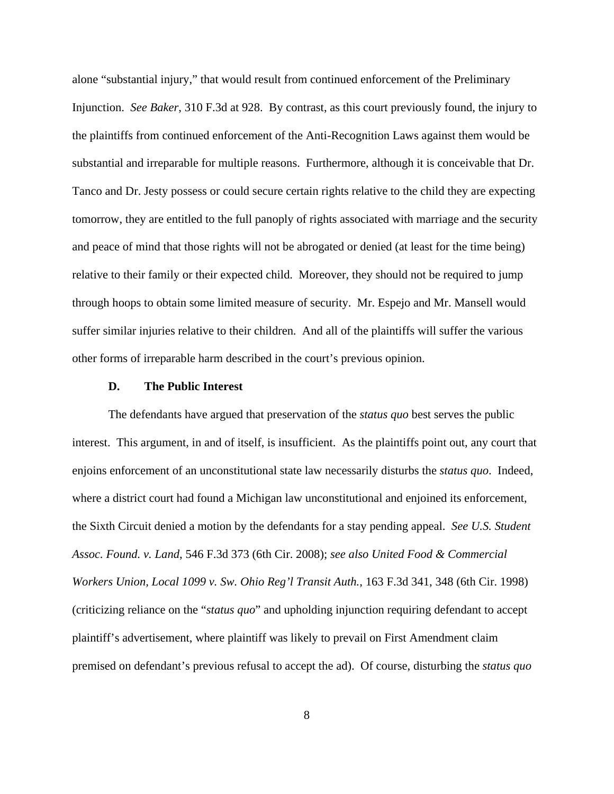alone "substantial injury," that would result from continued enforcement of the Preliminary Injunction. *See Baker*, 310 F.3d at 928. By contrast, as this court previously found, the injury to the plaintiffs from continued enforcement of the Anti-Recognition Laws against them would be substantial and irreparable for multiple reasons. Furthermore, although it is conceivable that Dr. Tanco and Dr. Jesty possess or could secure certain rights relative to the child they are expecting tomorrow, they are entitled to the full panoply of rights associated with marriage and the security and peace of mind that those rights will not be abrogated or denied (at least for the time being) relative to their family or their expected child. Moreover, they should not be required to jump through hoops to obtain some limited measure of security. Mr. Espejo and Mr. Mansell would suffer similar injuries relative to their children. And all of the plaintiffs will suffer the various other forms of irreparable harm described in the court's previous opinion.

### **D. The Public Interest**

The defendants have argued that preservation of the *status quo* best serves the public interest. This argument, in and of itself, is insufficient. As the plaintiffs point out, any court that enjoins enforcement of an unconstitutional state law necessarily disturbs the *status quo*. Indeed, where a district court had found a Michigan law unconstitutional and enjoined its enforcement, the Sixth Circuit denied a motion by the defendants for a stay pending appeal. *See U.S. Student Assoc. Found. v. Land*, 546 F.3d 373 (6th Cir. 2008); *see also United Food & Commercial Workers Union, Local 1099 v. Sw. Ohio Reg'l Transit Auth.*, 163 F.3d 341, 348 (6th Cir. 1998) (criticizing reliance on the "*status quo*" and upholding injunction requiring defendant to accept plaintiff's advertisement, where plaintiff was likely to prevail on First Amendment claim premised on defendant's previous refusal to accept the ad). Of course, disturbing the *status quo*